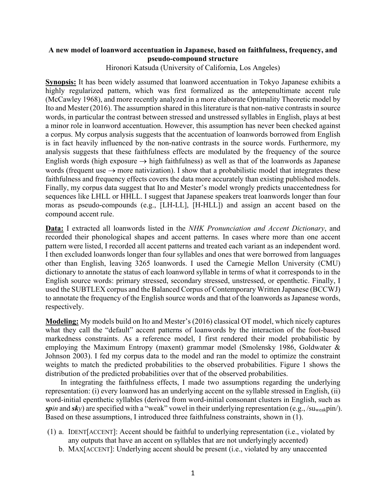## **A new model of loanword accentuation in Japanese, based on faithfulness, frequency, and pseudo-compound structure**

Hironori Katsuda (University of California, Los Angeles)

**Synopsis:** It has been widely assumed that loanword accentuation in Tokyo Japanese exhibits a highly regularized pattern, which was first formalized as the antepenultimate accent rule (McCawley 1968), and more recently analyzed in a more elaborate Optimality Theoretic model by Ito and Mester (2016). The assumption shared in this literature is that non-native contrasts in source words, in particular the contrast between stressed and unstressed syllables in English, plays at best a minor role in loanword accentuation. However, this assumption has never been checked against a corpus. My corpus analysis suggests that the accentuation of loanwords borrowed from English is in fact heavily influenced by the non-native contrasts in the source words. Furthermore, my analysis suggests that these faithfulness effects are modulated by the frequency of the source English words (high exposure  $\rightarrow$  high faithfulness) as well as that of the loanwords as Japanese words (frequent use  $\rightarrow$  more nativization). I show that a probabilistic model that integrates these faithfulness and frequency effects covers the data more accurately than existing published models. Finally, my corpus data suggest that Ito and Mester's model wrongly predicts unaccentedness for sequences like LHLL or HHLL. I suggest that Japanese speakers treat loanwords longer than four moras as pseudo-compounds (e.g., [LH-LL], [H-HLL]) and assign an accent based on the compound accent rule.

**Data:** I extracted all loanwords listed in the *NHK Pronunciation and Accent Dictionary*, and recorded their phonological shapes and accent patterns. In cases where more than one accent pattern were listed, I recorded all accent patterns and treated each variant as an independent word. I then excluded loanwords longer than four syllables and ones that were borrowed from languages other than English, leaving 3265 loanwords. I used the Carnegie Mellon University (CMU) dictionary to annotate the status of each loanword syllable in terms of what it corresponds to in the English source words: primary stressed, secondary stressed, unstressed, or epenthetic. Finally, I used the SUBTLEX corpus and the Balanced Corpus of Contemporary Written Japanese (BCCWJ) to annotate the frequency of the English source words and that of the loanwords as Japanese words, respectively.

**Modeling:** My models build on Ito and Mester's (2016) classical OT model, which nicely captures what they call the "default" accent patterns of loanwords by the interaction of the foot-based markedness constraints. As a reference model, I first rendered their model probabilistic by employing the Maximum Entropy (maxent) grammar model (Smolensky 1986, Goldwater & Johnson 2003). I fed my corpus data to the model and ran the model to optimize the constraint weights to match the predicted probabilities to the observed probabilities. Figure 1 shows the distribution of the predicted probabilities over that of the observed probabilities.

 In integrating the faithfulness effects, I made two assumptions regarding the underlying representation: (i) every loanword has an underlying accent on the syllable stressed in English, (ii) word-initial epenthetic syllables (derived from word-initial consonant clusters in English, such as *spin* and  $sky$ ) are specified with a "weak" vowel in their underlying representation (e.g., /su<sub>weak</sub>pin/). Based on these assumptions, I introduced three faithfulness constraints, shown in (1).

- (1) a. IDENT[ACCENT]: Accent should be faithful to underlying representation (i.e., violated by any outputs that have an accent on syllables that are not underlyingly accented)
	- b. MAX[ACCENT]: Underlying accent should be present (i.e., violated by any unaccented